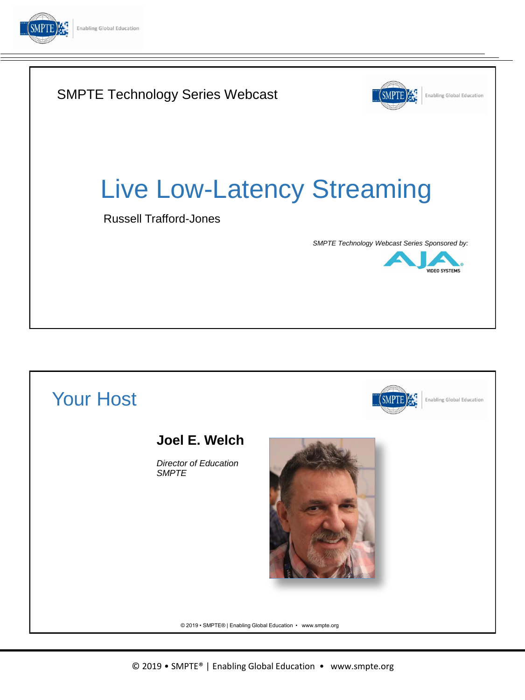

# SMPTE Technology Series Webcast **SMPTE Enabling Global Education** Live Low-Latency Streaming Russell Trafford-Jones *SMPTE Technology Webcast Series Sponsored by:* **IDEO SYSTEMS**

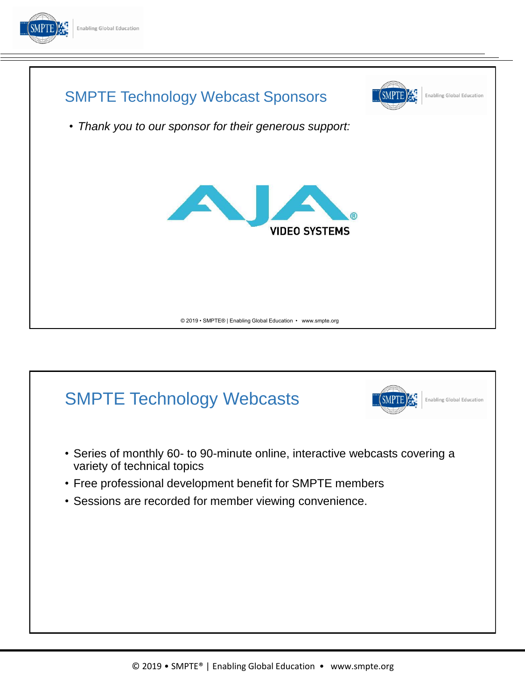



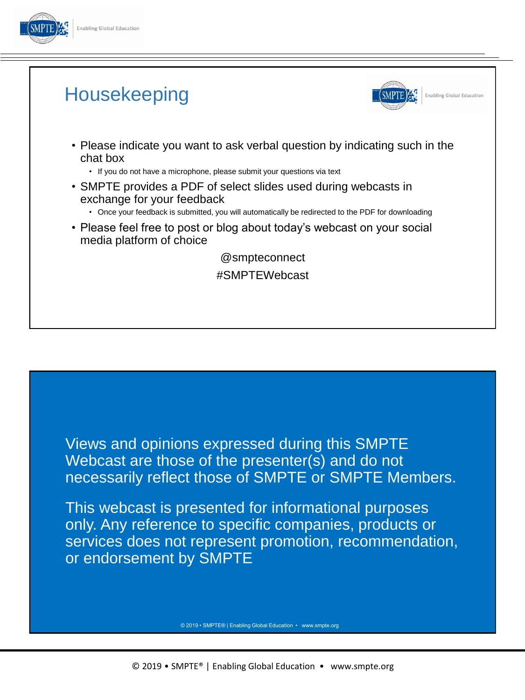

## **Housekeeping**



**Enabling Global Education** 

- Please indicate you want to ask verbal question by indicating such in the chat box
	- If you do not have a microphone, please submit your questions via text
- SMPTE provides a PDF of select slides used during webcasts in exchange for your feedback
	- Once your feedback is submitted, you will automatically be redirected to the PDF for downloading
- Please feel free to post or blog about today's webcast on your social media platform of choice

@smpteconnect #SMPTEWebcast

Views and opinions expressed during this SMPTE Webcast are those of the presenter(s) and do not necessarily reflect those of SMPTE or SMPTE Members.

This webcast is presented for informational purposes only. Any reference to specific companies, products or services does not represent promotion, recommendation, or endorsement by SMPTE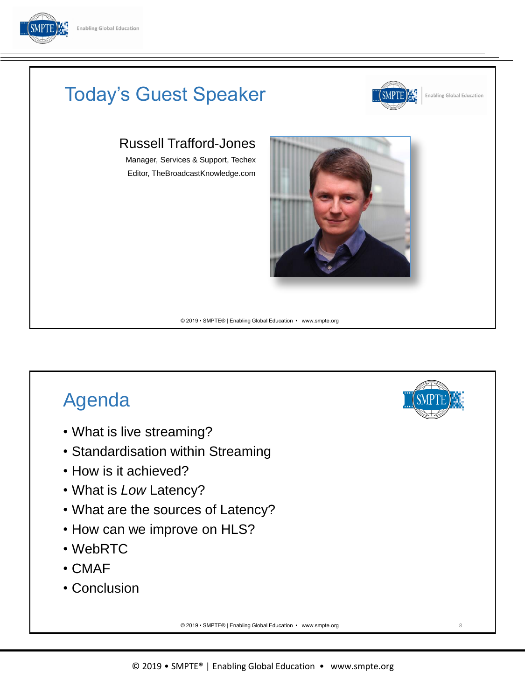



- What is live streaming?
- Standardisation within Streaming
- How is it achieved?
- What is *Low* Latency?
- What are the sources of Latency?
- How can we improve on HLS?
- WebRTC
- CMAF
- Conclusion

© 2019 • SMPTE® | Enabling Global Education • www.smpte.org

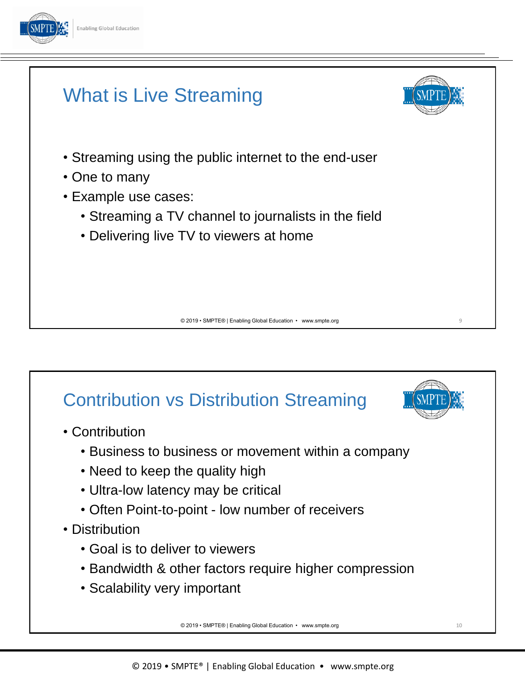



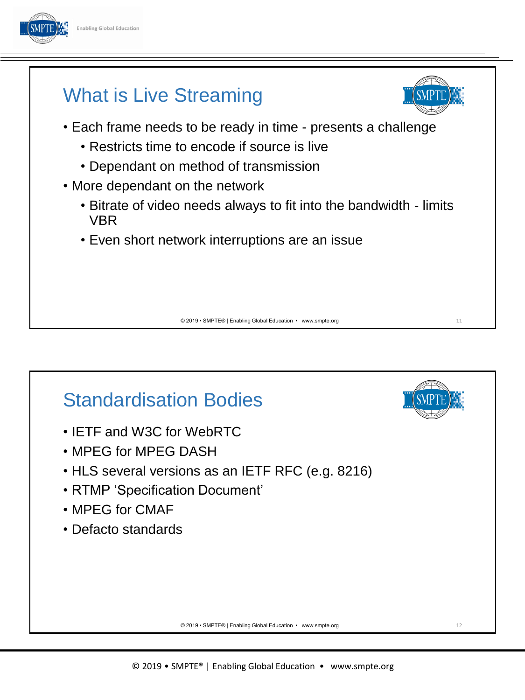



## Standardisation Bodies

- IETF and W3C for WebRTC
- MPEG for MPEG DASH
- HLS several versions as an IETF RFC (e.g. 8216)
- RTMP 'Specification Document'
- MPEG for CMAF
- Defacto standards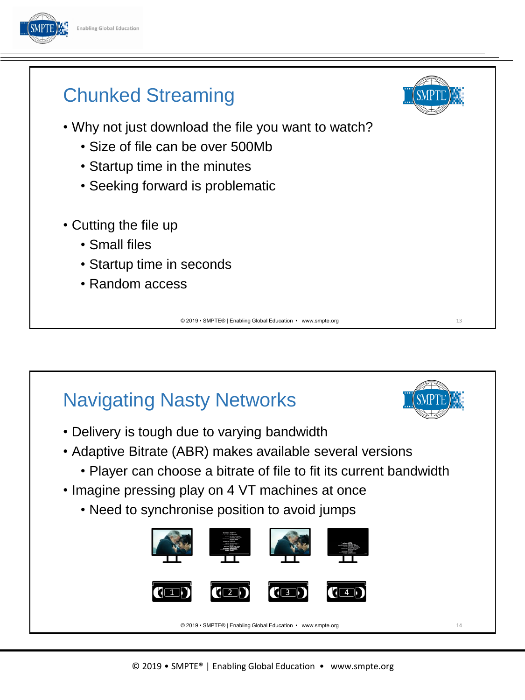



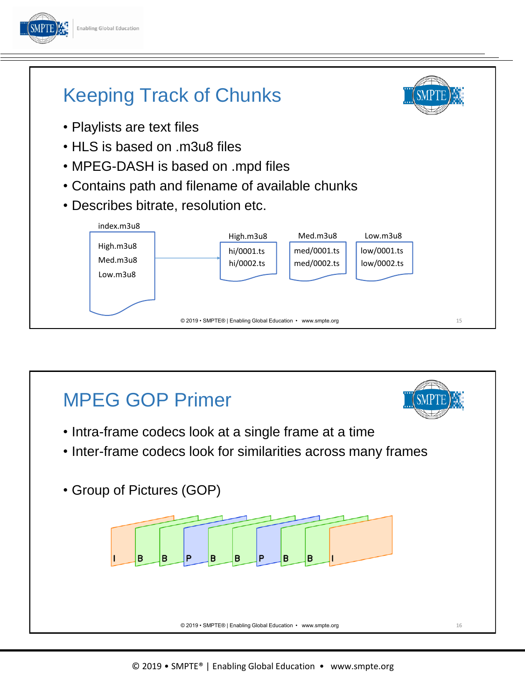

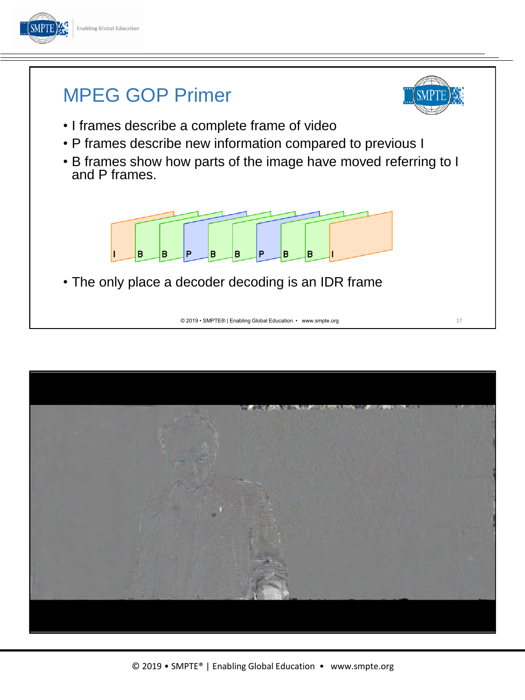



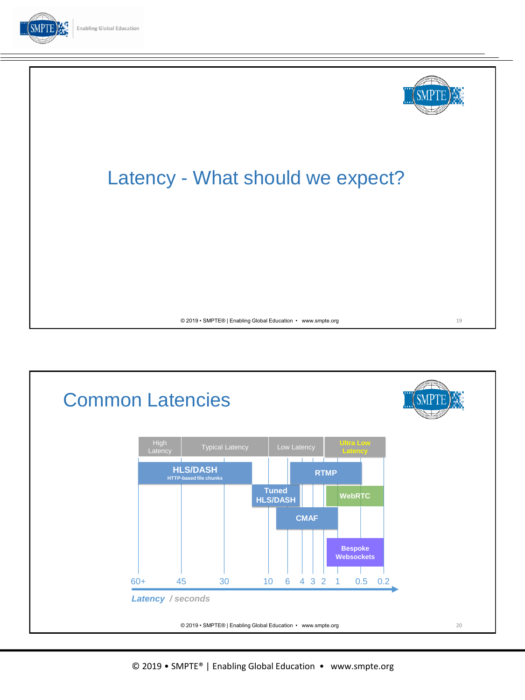



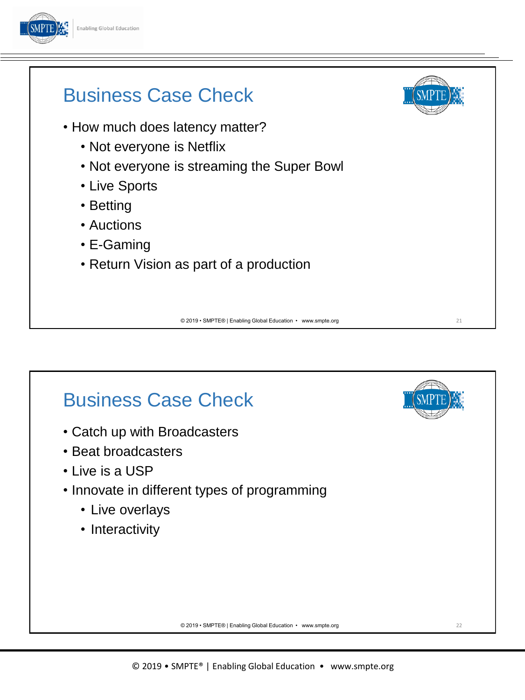

#### Business Case Check • How much does latency matter? • Not everyone is Netflix • Not everyone is streaming the Super Bowl • Live Sports • Betting • Auctions

- E-Gaming
- Return Vision as part of a production

© 2019 • SMPTE® | Enabling Global Education • www.smpte.org

## Business Case Check

- Catch up with Broadcasters
- Beat broadcasters
- Live is a USP
- Innovate in different types of programming
	- Live overlays
	- Interactivity



21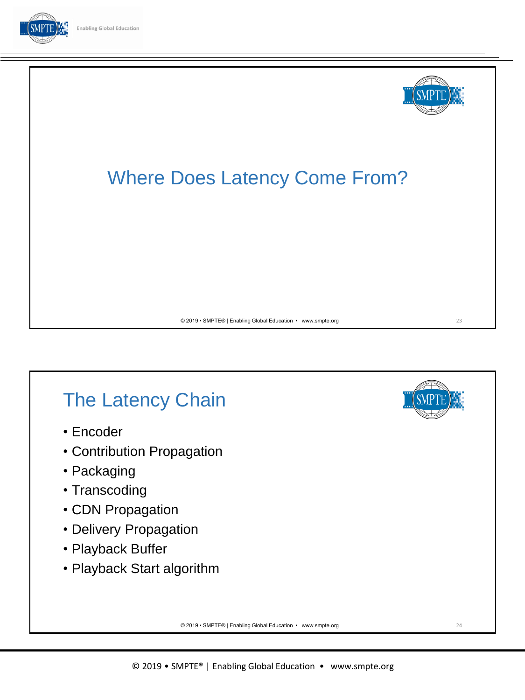





## The Latency Chain

- Encoder
- Contribution Propagation
- Packaging
- Transcoding
- CDN Propagation
- Delivery Propagation
- Playback Buffer
- Playback Start algorithm

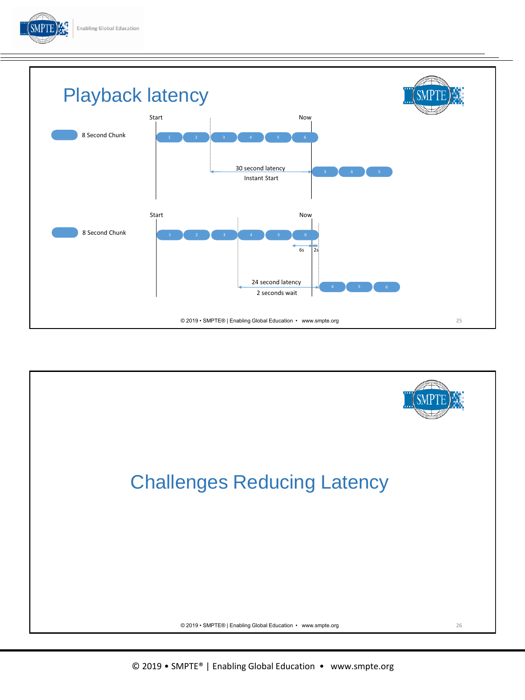



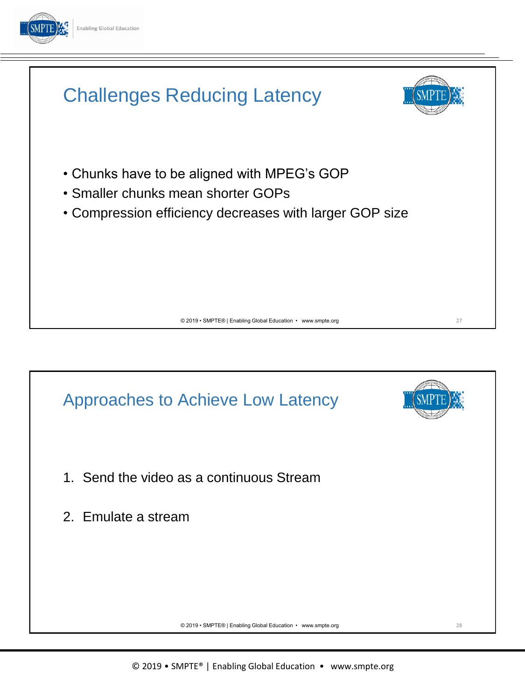

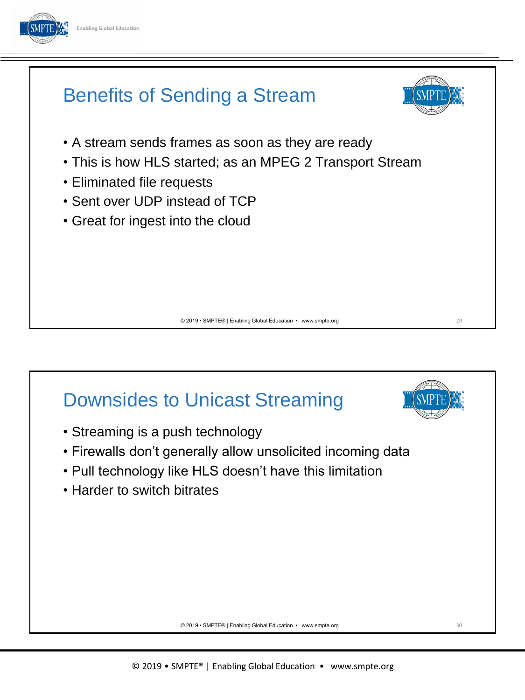



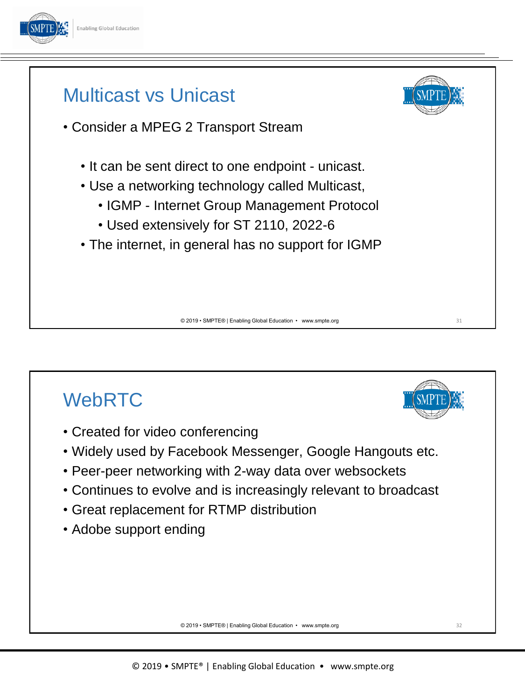



# **WebRTC**

- Created for video conferencing
- Widely used by Facebook Messenger, Google Hangouts etc.
- Peer-peer networking with 2-way data over websockets
- Continues to evolve and is increasingly relevant to broadcast
- Great replacement for RTMP distribution
- Adobe support ending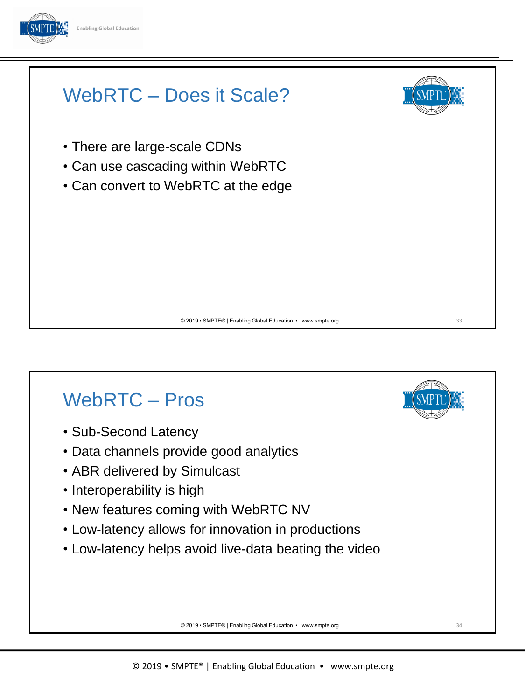



# WebRTC – Pros

- Sub-Second Latency
- Data channels provide good analytics
- ABR delivered by Simulcast
- Interoperability is high
- New features coming with WebRTC NV
- Low-latency allows for innovation in productions
- Low-latency helps avoid live-data beating the video

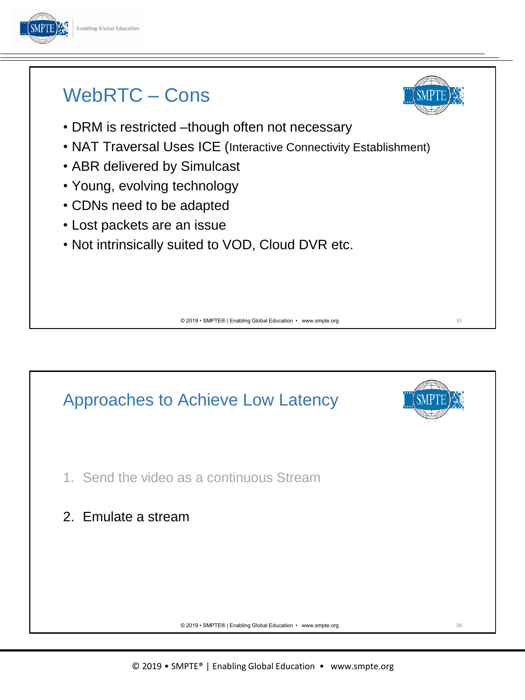

#### WebRTC – Cons



- NAT Traversal Uses ICE (Interactive Connectivity Establishment)
- ABR delivered by Simulcast
- Young, evolving technology
- CDNs need to be adapted
- Lost packets are an issue
- Not intrinsically suited to VOD, Cloud DVR etc.

© 2019 • SMPTE® | Enabling Global Education • www.smpte.org

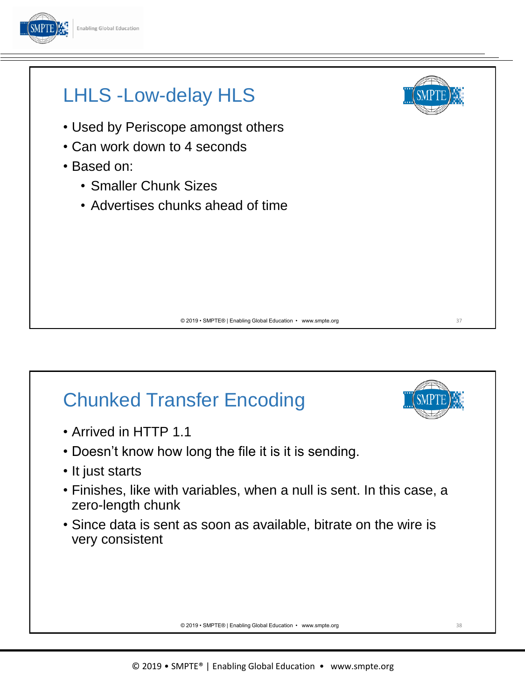



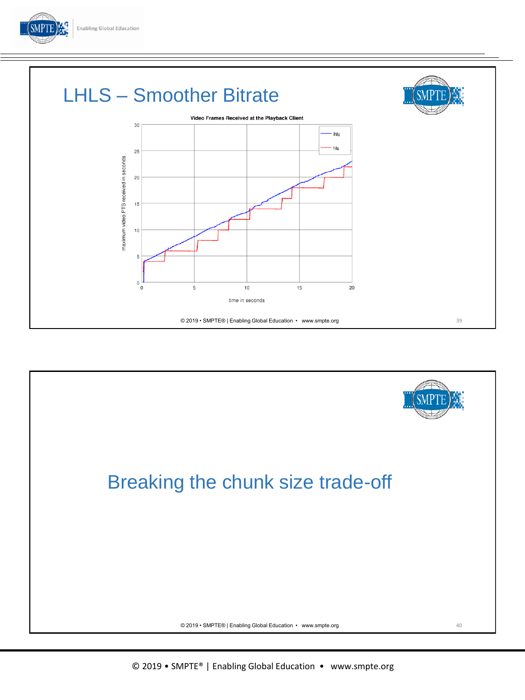



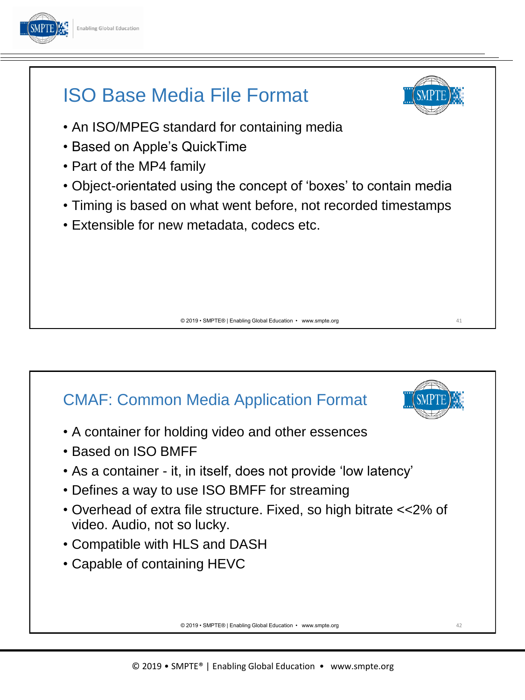

#### ISO Base Media File Format



41

- An ISO/MPEG standard for containing media
- Based on Apple's QuickTime
- Part of the MP4 family
- Object-orientated using the concept of 'boxes' to contain media
- Timing is based on what went before, not recorded timestamps
- Extensible for new metadata, codecs etc.

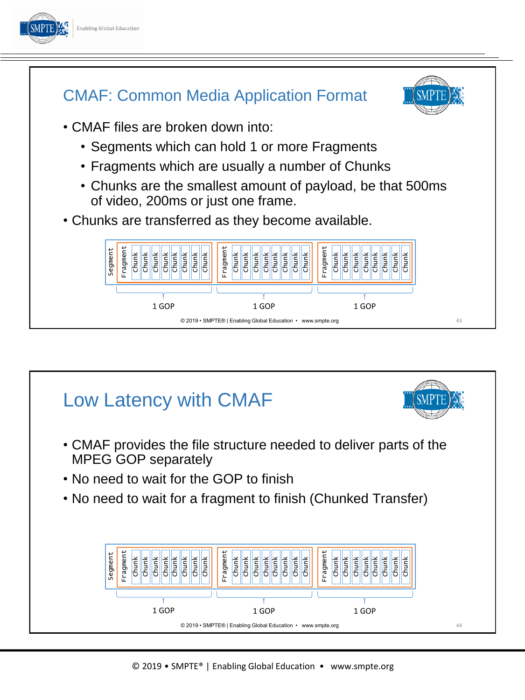

© 2019 • SMPTE® | Enabling Global Education • www.smpte.org

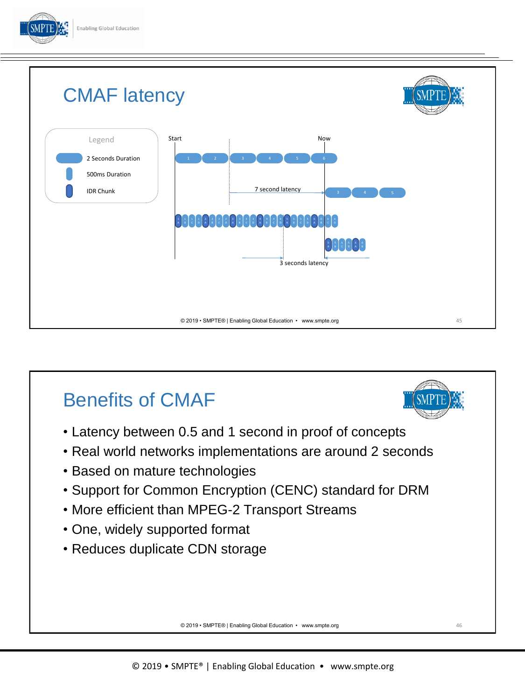



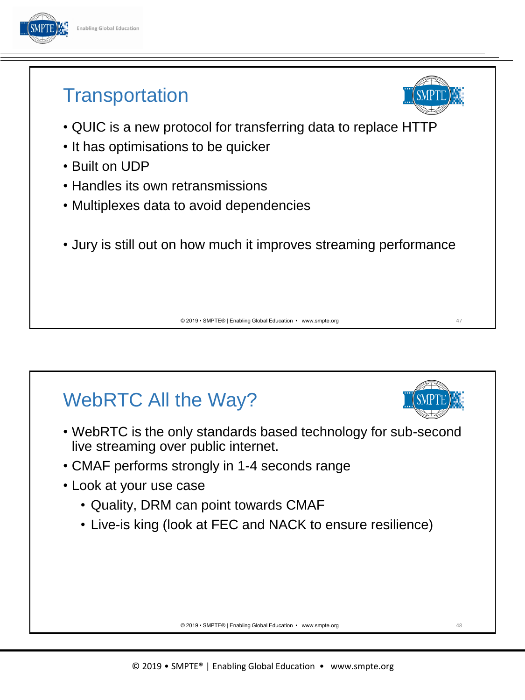

#### **Transportation**

- QUIC is a new protocol for transferring data to replace HTTP
- It has optimisations to be quicker
- Built on UDP
- Handles its own retransmissions
- Multiplexes data to avoid dependencies
- Jury is still out on how much it improves streaming performance

© 2019 • SMPTE® | Enabling Global Education • www.smpte.org

# WebRTC All the Way?

- WebRTC is the only standards based technology for sub-second live streaming over public internet.
- CMAF performs strongly in 1-4 seconds range
- Look at your use case
	- Quality, DRM can point towards CMAF
	- Live-is king (look at FEC and NACK to ensure resilience)

© 2019 • SMPTE® | Enabling Global Education • www.smpte.org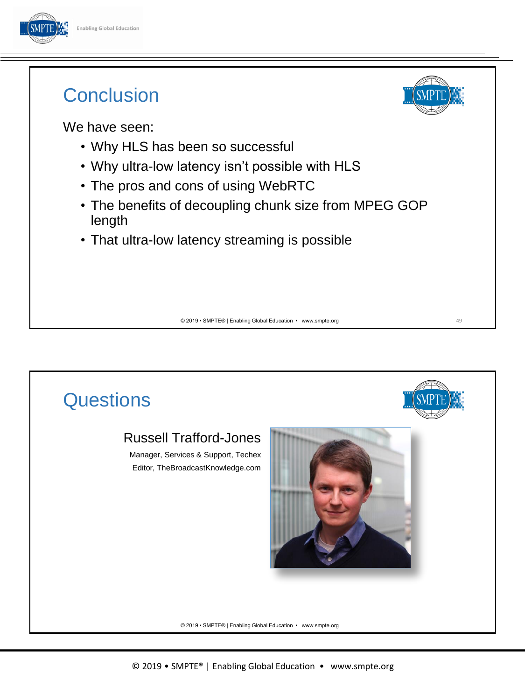

#### **Conclusion**



49

We have seen:

- Why HLS has been so successful
- Why ultra-low latency isn't possible with HLS
- The pros and cons of using WebRTC
- The benefits of decoupling chunk size from MPEG GOP length
- That ultra-low latency streaming is possible